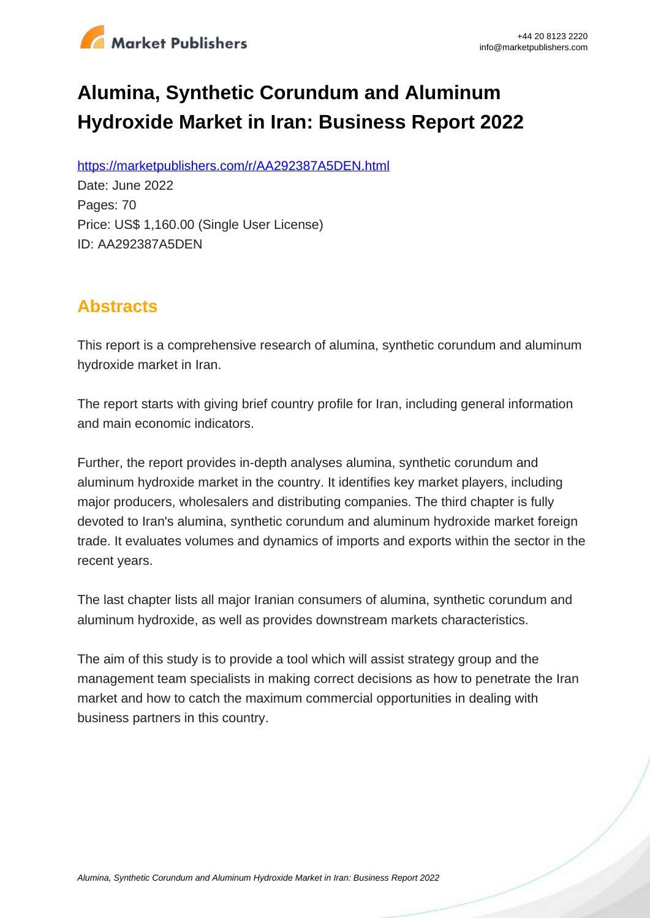

# **Alumina, Synthetic Corundum and Aluminum Hydroxide Market in Iran: Business Report 2022**

https://marketpublishers.com/r/AA292387A5DEN.html

Date: June 2022 Pages: 70 Price: US\$ 1,160.00 (Single User License) ID: AA292387A5DEN

# **Abstracts**

This report is a comprehensive research of alumina, synthetic corundum and aluminum hydroxide market in Iran.

The report starts with giving brief country profile for Iran, including general information and main economic indicators.

Further, the report provides in-depth analyses alumina, synthetic corundum and aluminum hydroxide market in the country. It identifies key market players, including major producers, wholesalers and distributing companies. The third chapter is fully devoted to Iran's alumina, synthetic corundum and aluminum hydroxide market foreign trade. It evaluates volumes and dynamics of imports and exports within the sector in the recent years.

The last chapter lists all major Iranian consumers of alumina, synthetic corundum and aluminum hydroxide, as well as provides downstream markets characteristics.

The aim of this study is to provide a tool which will assist strategy group and the management team specialists in making correct decisions as how to penetrate the Iran market and how to catch the maximum commercial opportunities in dealing with business partners in this country.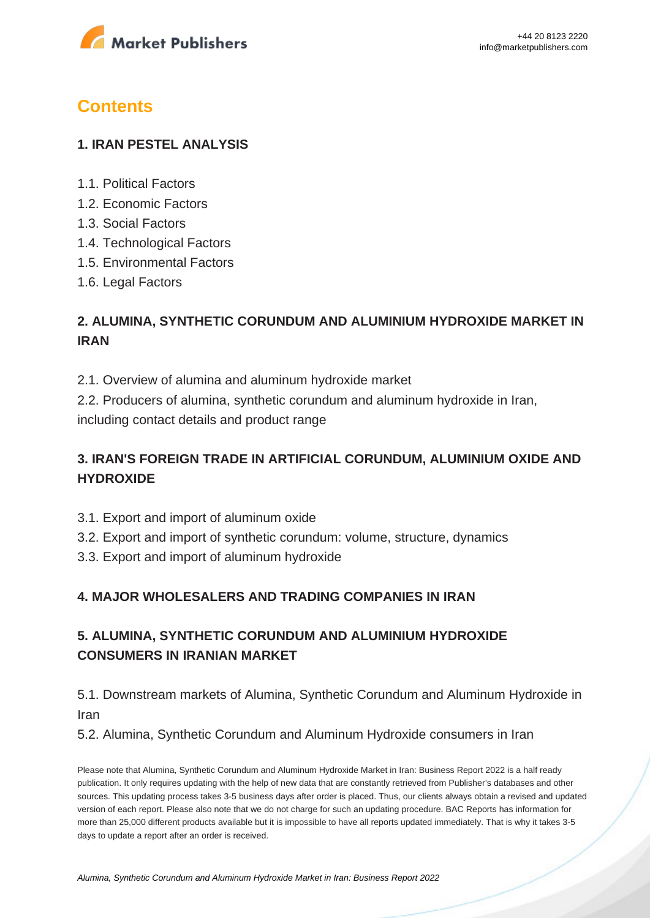

# **Contents**

#### **1. IRAN PESTEL ANALYSIS**

- 1.1. Political Factors
- 1.2. Economic Factors
- 1.3. Social Factors
- 1.4. Technological Factors
- 1.5. Environmental Factors
- 1.6. Legal Factors

## **2. ALUMINA, SYNTHETIC CORUNDUM AND ALUMINIUM HYDROXIDE MARKET IN IRAN**

2.1. Overview of alumina and aluminum hydroxide market

2.2. Producers of alumina, synthetic corundum and aluminum hydroxide in Iran, including contact details and product range

## **3. IRAN'S FOREIGN TRADE IN ARTIFICIAL CORUNDUM, ALUMINIUM OXIDE AND HYDROXIDE**

- 3.1. Export and import of aluminum oxide
- 3.2. Export and import of synthetic corundum: volume, structure, dynamics
- 3.3. Export and import of aluminum hydroxide

#### **4. MAJOR WHOLESALERS AND TRADING COMPANIES IN IRAN**

## **5. ALUMINA, SYNTHETIC CORUNDUM AND ALUMINIUM HYDROXIDE CONSUMERS IN IRANIAN MARKET**

5.1. Downstream markets of Alumina, Synthetic Corundum and Aluminum Hydroxide in Iran

5.2. Alumina, Synthetic Corundum and Aluminum Hydroxide consumers in Iran

Please note that Alumina, Synthetic Corundum and Aluminum Hydroxide Market in Iran: Business Report 2022 is a half ready publication. It only requires updating with the help of new data that are constantly retrieved from Publisher's databases and other sources. This updating process takes 3-5 business days after order is placed. Thus, our clients always obtain a revised and updated version of each report. Please also note that we do not charge for such an updating procedure. BAC Reports has information for more than 25,000 different products available but it is impossible to have all reports updated immediately. That is why it takes 3-5 days to update a report after an order is received.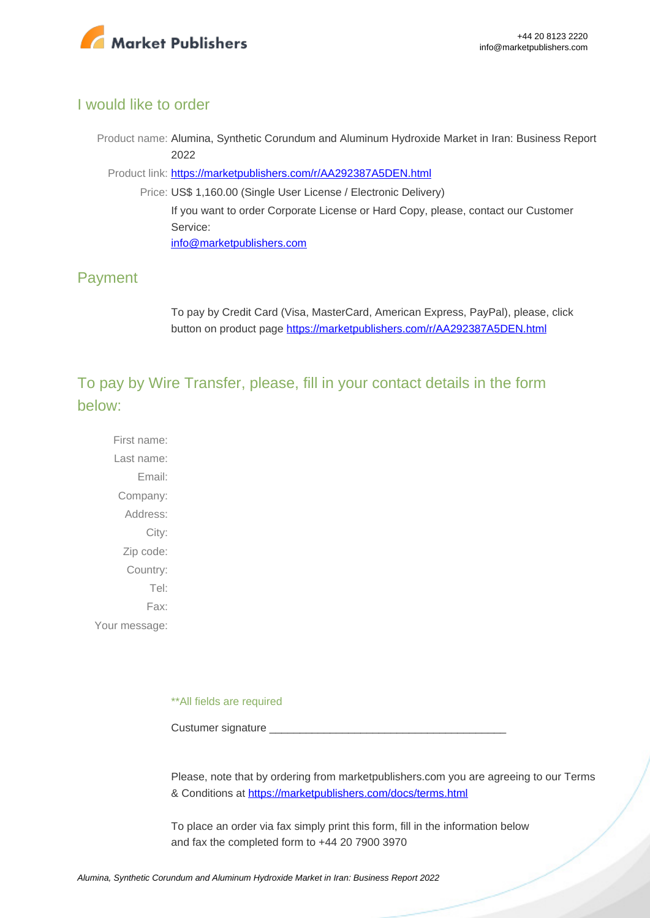

#### I would like to order

Product name: Alumina, Synthetic Corundum and Aluminum Hydroxide Market in Iran: Business Report 2022

Product link: [https://marketpublishers.com/r/AA292387A5DEN.html](https://marketpublishers.com/report/industry/chemicals_petrochemicals/alumina_synthetic_corundum_n_aluminum_hydroxide_market_in_iran_business_report.html)

Price: US\$ 1,160.00 (Single User License / Electronic Delivery) If you want to order Corporate License or Hard Copy, please, contact our Customer Service: [info@marketpublishers.com](mailto:info@marketpublishers.com)

#### Payment

To pay by Credit Card (Visa, MasterCard, American Express, PayPal), please, click button on product page [https://marketpublishers.com/r/AA292387A5DEN.html](https://marketpublishers.com/report/industry/chemicals_petrochemicals/alumina_synthetic_corundum_n_aluminum_hydroxide_market_in_iran_business_report.html)

To pay by Wire Transfer, please, fill in your contact details in the form below:

First name: Last name: Email: Company: Address: City: Zip code: Country: Tel: Fax: Your message:

\*\*All fields are required

Custumer signature

Please, note that by ordering from marketpublishers.com you are agreeing to our Terms & Conditions at<https://marketpublishers.com/docs/terms.html>

To place an order via fax simply print this form, fill in the information below and fax the completed form to +44 20 7900 3970